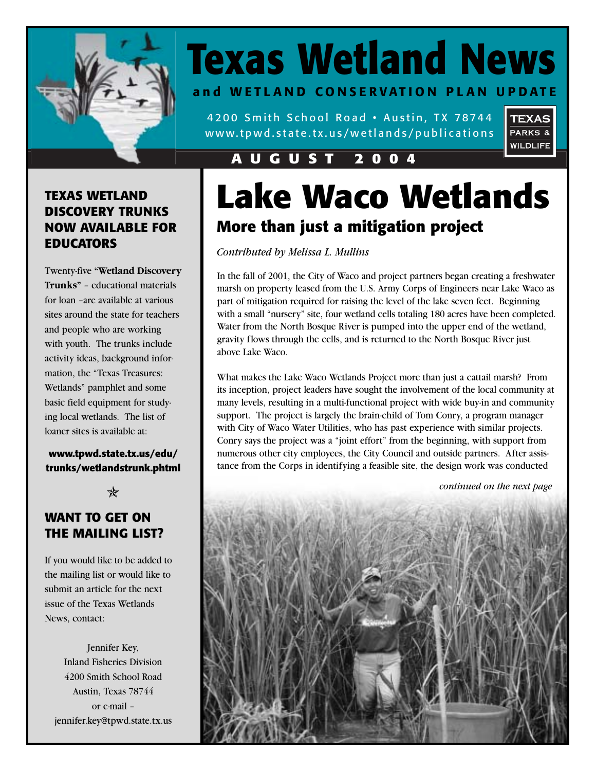

# **Texas Wetland News**

**and WETLAND CONSERVATION PLAN UPDATE**

4200 Smith School Road • Austin, TX 78744 www.tpwd.state.tx.us/wetlands/publications



### **AUGUST 2004**

### **TEXAS WETLAND DISCOVERY TRUNKS NOW AVAILABLE FOR EDUCATORS**

Twenty-five **"Wetland Discovery Trunks"** – educational materials for loan –are available at various sites around the state for teachers and people who are working with youth. The trunks include activity ideas, background information, the "Texas Treasures: Wetlands" pamphlet and some basic field equipment for studying local wetlands. The list of loaner sites is available at:

**www.tpwd.state.tx.us/edu/ trunks/wetlandstrunk.phtml**

 $\ast$ 

### **WANT TO GET ON THE MAILING LIST?**

If you would like to be added to the mailing list or would like to submit an article for the next issue of the Texas Wetlands News, contact:

Jennifer Key, Inland Fisheries Division 4200 Smith School Road Austin, Texas 78744 or e-mail – jennifer.key@tpwd.state.tx.us

# **Lake Waco Wetlands More than just a mitigation project**

*Contributed by Melissa L. Mullins*

In the fall of 2001, the City of Waco and project partners began creating a freshwater marsh on property leased from the U.S. Army Corps of Engineers near Lake Waco as part of mitigation required for raising the level of the lake seven feet. Beginning with a small "nursery" site, four wetland cells totaling 180 acres have been completed. Water from the North Bosque River is pumped into the upper end of the wetland, gravity flows through the cells, and is returned to the North Bosque River just above Lake Waco.

What makes the Lake Waco Wetlands Project more than just a cattail marsh? From its inception, project leaders have sought the involvement of the local community at many levels, resulting in a multi-functional project with wide buy-in and community support. The project is largely the brain-child of Tom Conry, a program manager with City of Waco Water Utilities, who has past experience with similar projects. Conry says the project was a "joint effort" from the beginning, with support from numerous other city employees, the City Council and outside partners. After assistance from the Corps in identifying a feasible site, the design work was conducted

*continued on the next page*

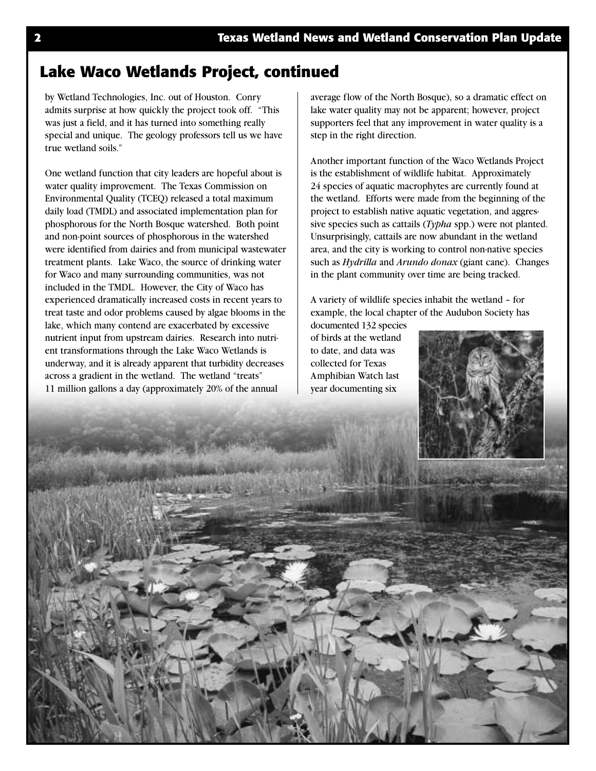### **Lake Waco Wetlands Project, continued**

by Wetland Technologies, Inc. out of Houston. Conry admits surprise at how quickly the project took off. "This was just a field, and it has turned into something really special and unique. The geology professors tell us we have true wetland soils."

One wetland function that city leaders are hopeful about is water quality improvement. The Texas Commission on Environmental Quality (TCEQ) released a total maximum daily load (TMDL) and associated implementation plan for phosphorous for the North Bosque watershed. Both point and non-point sources of phosphorous in the watershed were identified from dairies and from municipal wastewater treatment plants. Lake Waco, the source of drinking water for Waco and many surrounding communities, was not included in the TMDL. However, the City of Waco has experienced dramatically increased costs in recent years to treat taste and odor problems caused by algae blooms in the lake, which many contend are exacerbated by excessive nutrient input from upstream dairies. Research into nutrient transformations through the Lake Waco Wetlands is underway, and it is already apparent that turbidity decreases across a gradient in the wetland. The wetland "treats" 11 million gallons a day (approximately 20% of the annual

average flow of the North Bosque), so a dramatic effect on lake water quality may not be apparent; however, project supporters feel that any improvement in water quality is a step in the right direction.

Another important function of the Waco Wetlands Project is the establishment of wildlife habitat. Approximately 24 species of aquatic macrophytes are currently found at the wetland. Efforts were made from the beginning of the project to establish native aquatic vegetation, and aggressive species such as cattails (*Typha* spp.) were not planted. Unsurprisingly, cattails are now abundant in the wetland area, and the city is working to control non-native species such as *Hydrilla* and *Arundo donax* (giant cane). Changes in the plant community over time are being tracked.

A variety of wildlife species inhabit the wetland – for example, the local chapter of the Audubon Society has

documented 132 species of birds at the wetland to date, and data was collected for Texas Amphibian Watch last year documenting six



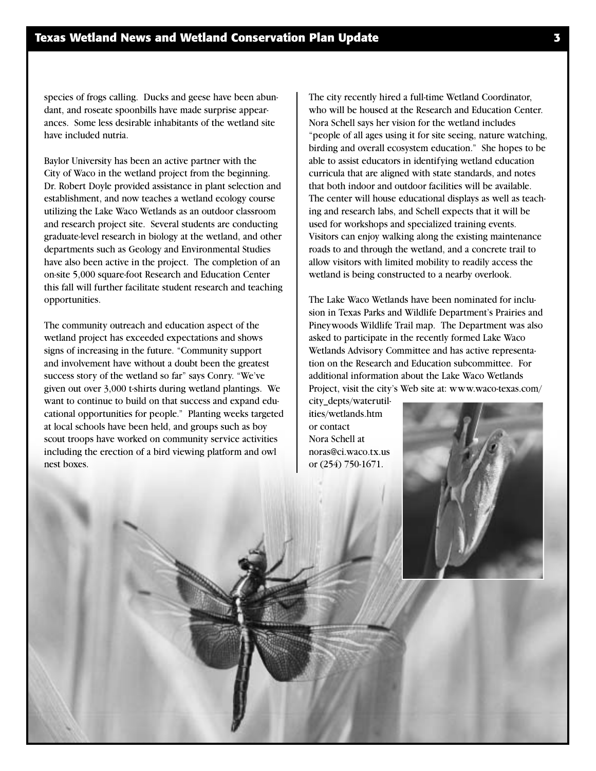species of frogs calling. Ducks and geese have been abundant, and roseate spoonbills have made surprise appearances. Some less desirable inhabitants of the wetland site have included nutria.

Baylor University has been an active partner with the City of Waco in the wetland project from the beginning. Dr. Robert Doyle provided assistance in plant selection and establishment, and now teaches a wetland ecology course utilizing the Lake Waco Wetlands as an outdoor classroom and research project site. Several students are conducting graduate-level research in biology at the wetland, and other departments such as Geology and Environmental Studies have also been active in the project. The completion of an on-site 5,000 square-foot Research and Education Center this fall will further facilitate student research and teaching opportunities.

The community outreach and education aspect of the wetland project has exceeded expectations and shows signs of increasing in the future. "Community support and involvement have without a doubt been the greatest success story of the wetland so far" says Conry. "We've given out over 3,000 t-shirts during wetland plantings. We want to continue to build on that success and expand educational opportunities for people." Planting weeks targeted at local schools have been held, and groups such as boy scout troops have worked on community service activities including the erection of a bird viewing platform and owl nest boxes.

The city recently hired a full-time Wetland Coordinator, who will be housed at the Research and Education Center. Nora Schell says her vision for the wetland includes "people of all ages using it for site seeing, nature watching, birding and overall ecosystem education." She hopes to be able to assist educators in identifying wetland education curricula that are aligned with state standards, and notes that both indoor and outdoor facilities will be available. The center will house educational displays as well as teaching and research labs, and Schell expects that it will be used for workshops and specialized training events. Visitors can enjoy walking along the existing maintenance roads to and through the wetland, and a concrete trail to allow visitors with limited mobility to readily access the wetland is being constructed to a nearby overlook.

The Lake Waco Wetlands have been nominated for inclusion in Texas Parks and Wildlife Department's Prairies and Pineywoods Wildlife Trail map. The Department was also asked to participate in the recently formed Lake Waco Wetlands Advisory Committee and has active representation on the Research and Education subcommittee. For additional information about the Lake Waco Wetlands Project, visit the city's Web site at: www.waco-texas.com/

city\_depts/waterutilities/wetlands.htm or contact Nora Schell at noras@ci.waco.tx.us or (254) 750-1671.

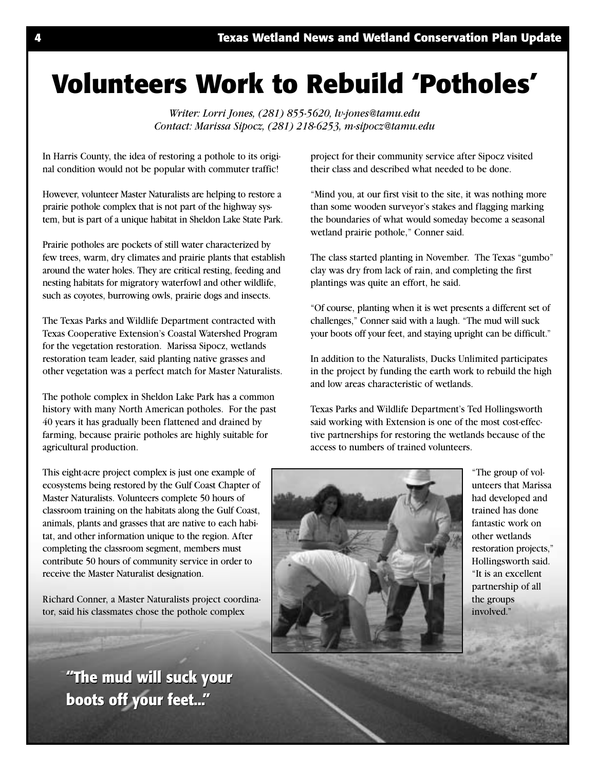# **Volunteers Work to Rebuild 'Potholes'**

*Writer: Lorri Jones, (281) 855-5620, lv-jones@tamu.edu Contact: Marissa Sipocz, (281) 218-6253, m-sipocz@tamu.edu*

In Harris County, the idea of restoring a pothole to its original condition would not be popular with commuter traffic!

However, volunteer Master Naturalists are helping to restore a prairie pothole complex that is not part of the highway system, but is part of a unique habitat in Sheldon Lake State Park.

Prairie potholes are pockets of still water characterized by few trees, warm, dry climates and prairie plants that establish around the water holes. They are critical resting, feeding and nesting habitats for migratory waterfowl and other wildlife, such as coyotes, burrowing owls, prairie dogs and insects.

The Texas Parks and Wildlife Department contracted with Texas Cooperative Extension's Coastal Watershed Program for the vegetation restoration. Marissa Sipocz, wetlands restoration team leader, said planting native grasses and other vegetation was a perfect match for Master Naturalists.

The pothole complex in Sheldon Lake Park has a common history with many North American potholes. For the past 40 years it has gradually been flattened and drained by farming, because prairie potholes are highly suitable for agricultural production.

This eight-acre project complex is just one example of ecosystems being restored by the Gulf Coast Chapter of Master Naturalists. Volunteers complete 50 hours of classroom training on the habitats along the Gulf Coast, animals, plants and grasses that are native to each habitat, and other information unique to the region. After completing the classroom segment, members must contribute 50 hours of community service in order to receive the Master Naturalist designation.

Richard Conner, a Master Naturalists project coordinator, said his classmates chose the pothole complex

> **"The mud will suck your "The mud will suck your boots off your feet..." boots off your feet..."**

project for their community service after Sipocz visited their class and described what needed to be done.

"Mind you, at our first visit to the site, it was nothing more than some wooden surveyor's stakes and flagging marking the boundaries of what would someday become a seasonal wetland prairie pothole," Conner said.

The class started planting in November. The Texas "gumbo" clay was dry from lack of rain, and completing the first plantings was quite an effort, he said.

"Of course, planting when it is wet presents a different set of challenges," Conner said with a laugh. "The mud will suck your boots off your feet, and staying upright can be difficult."

In addition to the Naturalists, Ducks Unlimited participates in the project by funding the earth work to rebuild the high and low areas characteristic of wetlands.

Texas Parks and Wildlife Department's Ted Hollingsworth said working with Extension is one of the most cost-effective partnerships for restoring the wetlands because of the access to numbers of trained volunteers.



"The group of volunteers that Marissa had developed and trained has done fantastic work on other wetlands restoration projects," Hollingsworth said. "It is an excellent partnership of all the groups involved."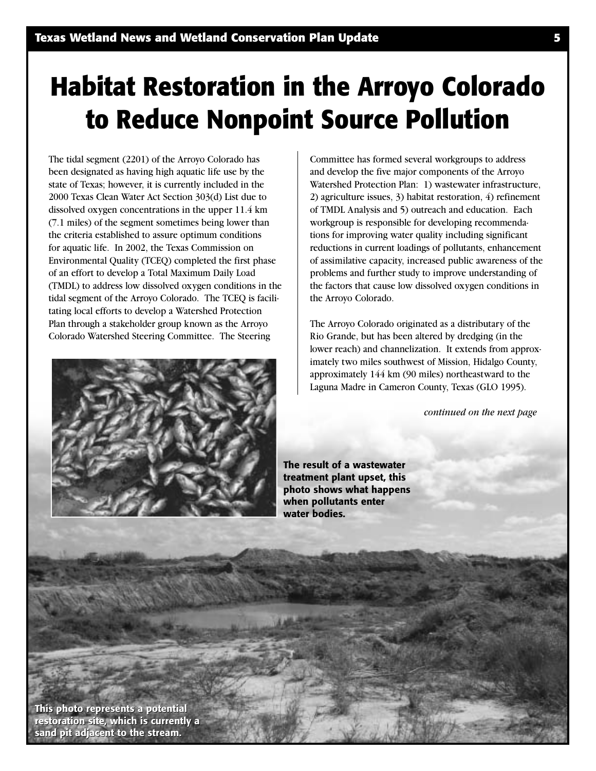# **Habitat Restoration in the Arroyo Colorado to Reduce Nonpoint Source Pollution**

The tidal segment (2201) of the Arroyo Colorado has been designated as having high aquatic life use by the state of Texas; however, it is currently included in the 2000 Texas Clean Water Act Section 303(d) List due to dissolved oxygen concentrations in the upper 11.4 km (7.1 miles) of the segment sometimes being lower than the criteria established to assure optimum conditions for aquatic life. In 2002, the Texas Commission on Environmental Quality (TCEQ) completed the first phase of an effort to develop a Total Maximum Daily Load (TMDL) to address low dissolved oxygen conditions in the tidal segment of the Arroyo Colorado. The TCEQ is facilitating local efforts to develop a Watershed Protection Plan through a stakeholder group known as the Arroyo Colorado Watershed Steering Committee. The Steering



Committee has formed several workgroups to address and develop the five major components of the Arroyo Watershed Protection Plan: 1) wastewater infrastructure, 2) agriculture issues, 3) habitat restoration, 4) refinement of TMDL Analysis and 5) outreach and education. Each workgroup is responsible for developing recommendations for improving water quality including significant reductions in current loadings of pollutants, enhancement of assimilative capacity, increased public awareness of the problems and further study to improve understanding of the factors that cause low dissolved oxygen conditions in the Arroyo Colorado.

The Arroyo Colorado originated as a distributary of the Rio Grande, but has been altered by dredging (in the lower reach) and channelization. It extends from approximately two miles southwest of Mission, Hidalgo County, approximately 144 km (90 miles) northeastward to the Laguna Madre in Cameron County, Texas (GLO 1995).

*continued on the next page*

**The result of a wastewater treatment plant upset, this photo shows what happens when pollutants enter water bodies.**

**This photo represents a potential This photo represents a potential restoration site, which is currently a sand pit adjacent to the stream. sand pit adjacent to the stream.**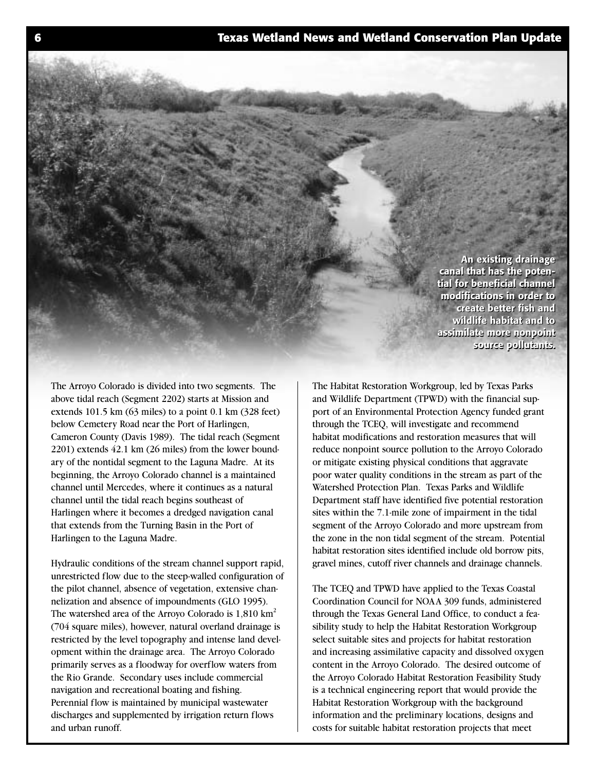**An existing drainage An existing drainage canal that has the poten-canal that has the potential for beneficial channel tial for beneficial channel modifications in order to modifications in order to create better fish and create better fish and wildlife habitat and to wildlife habitat and to assimilate more nonpoint assimilate more nonpoint source pollutants. source pollutants.** 

The Arroyo Colorado is divided into two segments. The above tidal reach (Segment 2202) starts at Mission and extends 101.5 km (63 miles) to a point 0.1 km (328 feet) below Cemetery Road near the Port of Harlingen, Cameron County (Davis 1989). The tidal reach (Segment 2201) extends 42.1 km (26 miles) from the lower boundary of the nontidal segment to the Laguna Madre. At its beginning, the Arroyo Colorado channel is a maintained channel until Mercedes, where it continues as a natural channel until the tidal reach begins southeast of Harlingen where it becomes a dredged navigation canal that extends from the Turning Basin in the Port of Harlingen to the Laguna Madre.

Hydraulic conditions of the stream channel support rapid, unrestricted flow due to the steep-walled configuration of the pilot channel, absence of vegetation, extensive channelization and absence of impoundments (GLO 1995). The watershed area of the Arroyo Colorado is  $1,810 \text{ km}^2$ (704 square miles), however, natural overland drainage is restricted by the level topography and intense land development within the drainage area. The Arroyo Colorado primarily serves as a floodway for overflow waters from the Rio Grande. Secondary uses include commercial navigation and recreational boating and fishing. Perennial flow is maintained by municipal wastewater discharges and supplemented by irrigation return flows and urban runoff.

The Habitat Restoration Workgroup, led by Texas Parks and Wildlife Department (TPWD) with the financial support of an Environmental Protection Agency funded grant through the TCEQ, will investigate and recommend habitat modifications and restoration measures that will reduce nonpoint source pollution to the Arroyo Colorado or mitigate existing physical conditions that aggravate poor water quality conditions in the stream as part of the Watershed Protection Plan. Texas Parks and Wildlife Department staff have identified five potential restoration sites within the 7.1-mile zone of impairment in the tidal segment of the Arroyo Colorado and more upstream from the zone in the non tidal segment of the stream. Potential habitat restoration sites identified include old borrow pits, gravel mines, cutoff river channels and drainage channels.

The TCEQ and TPWD have applied to the Texas Coastal Coordination Council for NOAA 309 funds, administered through the Texas General Land Office, to conduct a feasibility study to help the Habitat Restoration Workgroup select suitable sites and projects for habitat restoration and increasing assimilative capacity and dissolved oxygen content in the Arroyo Colorado. The desired outcome of the Arroyo Colorado Habitat Restoration Feasibility Study is a technical engineering report that would provide the Habitat Restoration Workgroup with the background information and the preliminary locations, designs and costs for suitable habitat restoration projects that meet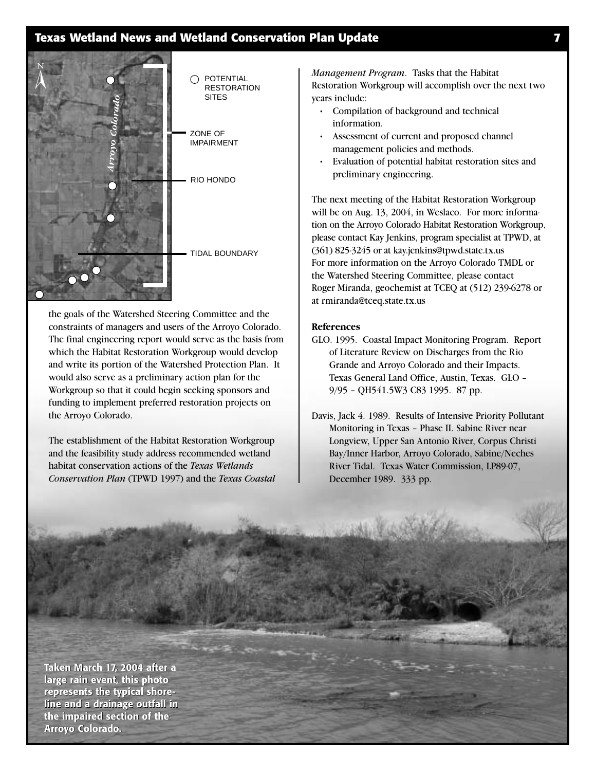### **Texas Wetland News and Wetland Conservation Plan Update 7**



the goals of the Watershed Steering Committee and the constraints of managers and users of the Arroyo Colorado. The final engineering report would serve as the basis from which the Habitat Restoration Workgroup would develop and write its portion of the Watershed Protection Plan. It would also serve as a preliminary action plan for the Workgroup so that it could begin seeking sponsors and funding to implement preferred restoration projects on the Arroyo Colorado.

The establishment of the Habitat Restoration Workgroup and the feasibility study address recommended wetland habitat conservation actions of the *Texas Wetlands Conservation Plan* (TPWD 1997) and the *Texas Coastal* *Management Program*. Tasks that the Habitat Restoration Workgroup will accomplish over the next two years include:

- Compilation of background and technical information.
- Assessment of current and proposed channel management policies and methods.
- Evaluation of potential habitat restoration sites and preliminary engineering.

The next meeting of the Habitat Restoration Workgroup will be on Aug. 13, 2004, in Weslaco. For more information on the Arroyo Colorado Habitat Restoration Workgroup, please contact Kay Jenkins, program specialist at TPWD, at (361) 825-3245 or at kay.jenkins@tpwd.state.tx.us For more information on the Arroyo Colorado TMDL or the Watershed Steering Committee, please contact Roger Miranda, geochemist at TCEQ at (512) 239-6278 or at rmiranda@tceq.state.tx.us

#### **References**

- GLO. 1995. Coastal Impact Monitoring Program. Report of Literature Review on Discharges from the Rio Grande and Arroyo Colorado and their Impacts. Texas General Land Office, Austin, Texas. GLO – 9/95 – QH541.5W3 C83 1995. 87 pp.
- Davis, Jack 4. 1989. Results of Intensive Priority Pollutant Monitoring in Texas – Phase II. Sabine River near Longview, Upper San Antonio River, Corpus Christi Bay/Inner Harbor, Arroyo Colorado, Sabine/Neches River Tidal. Texas Water Commission, LP89-07, December 1989. 333 pp.

**Taken March 17, 2004 after a large rain event, this photo represents the typical shoreline and a drainage outfall in the impaired section of the Arroyo Colorado. Arroyo Colorado. n March 17, 2004 after a<br>e rain event, this photo<br>esents the typical shore-<br>and a drainage outfall in<br>mpaired section of the**